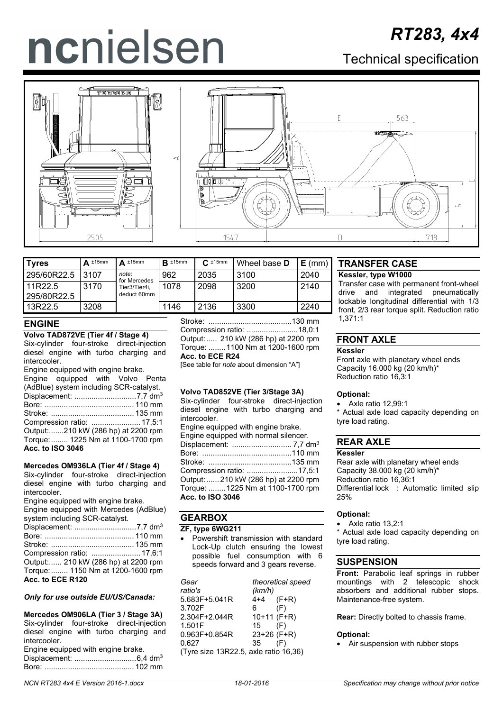# ncnielsen

# Technical specification



| <b>Tyres</b>           | ±15mm<br>A | $\Delta$ ±15mm               | $R \pm 15$ mm | $C_{\cdot}$ ±15mm | l Wheel base <b>D</b> | $E$ (mm) |
|------------------------|------------|------------------------------|---------------|-------------------|-----------------------|----------|
| 295/60R22.5            | 3107       | note:<br>for Mercedes        | 962           | 2035              | 3100                  | 2040     |
| 11R22.5<br>295/80R22.5 | 3170       | Tier3/Tier4i,<br>deduct 60mm | 1078          | 2098              | 3200                  | 2140     |
| 13R22.5                | 3208       |                              | 1146          | 2136              | 3300                  | 2240     |

# **ENGINE**

### **Volvo TAD872VE (Tier 4f / Stage 4)** Six-cylinder four-stroke direct-injection diesel engine with turbo charging and **intercooler**

| Engine equipped with engine brake.<br>Engine equipped with Volvo Penta |  |
|------------------------------------------------------------------------|--|
| (AdBlue) system including SCR-catalyst.                                |  |
|                                                                        |  |
|                                                                        |  |
|                                                                        |  |
|                                                                        |  |
| Output:210 kW (286 hp) at 2200 rpm                                     |  |
| Torque:  1225 Nm at 1100-1700 rpm                                      |  |
| <b>Acc. to ISO 3046</b>                                                |  |

### **Mercedes OM936LA (Tier 4f / Stage 4)**

Six-cylinder four-stroke direct-injection diesel engine with turbo charging and intercooler.

Engine equipped with engine brake.

Engine equipped with Mercedes (AdBlue) system including SCR-catalyst.

| Output: 210 kW (286 hp) at 2200 rpm |  |
|-------------------------------------|--|
| Torque:  1150 Nm at 1200-1600 rpm   |  |
| Acc. to ECE R120                    |  |
|                                     |  |

### *Only for use outside EU/US/Canada:*

### **Mercedes OM906LA (Tier 3 / Stage 3A)** Six-cylinder four-stroke direct-injection diesel engine with turbo charging and intercooler. Engine equipped with engine brake. Displacement: .............................6,4 dm3 Bore: .......................................... 102 mm

Stroke: .......................................130 mm Compression ratio: ........................18,0:1 Output:..... 210 kW (286 hp) at 2200 rpm Torque: ........1100 Nm at 1200-1600 rpm **Acc. to ECE R24**

[See table for *note* about dimension "A"]

### **Volvo TAD852VE (Tier 3/Stage 3A)**

Six-cylinder four-stroke direct-injection diesel engine with turbo charging and intercooler.

Engine equipped with engine brake. Engine equipped with normal silencer. Displacement: ............................ 7,7 dm3 Bore: ..........................................110 mm Stroke: .......................................135 mm Compression ratio: ........................17,5:1 Output:...... 210 kW (286 hp) at 2200 rpm Torque: ........1225 Nm at 1100-1700 rpm **Acc. to ISO 3046**

# **GEARBOX**

### **ZF, type 6WG211**

• Powershift transmission with standard Lock-Up clutch ensuring the lowest possible fuel consumption with 6 speeds forward and 3 gears reverse.

| Gear                                  |               | theoretical speed |  |
|---------------------------------------|---------------|-------------------|--|
| ratio's                               | (km/h)        |                   |  |
| 5.683F+5.041R                         | $4+4$ (F+R)   |                   |  |
| 3.702F                                | 6             | (F)               |  |
| 2.304F+2.044R                         | $10+11$ (F+R) |                   |  |
| 1.501F                                | 15            | (F)               |  |
| $0.963F + 0.854R$                     | 23+26 (F+R)   |                   |  |
| 0.627                                 | 35            | (F)               |  |
| (Tyre size 13R22.5, axle ratio 16,36) |               |                   |  |

# **TRANSFER CASE**

### **Kessler, type W1000**

Transfer case with permanent front-wheel drive and integrated pneumatically lockable longitudinal differential with 1/3 front, 2/3 rear torque split. Reduction ratio 1,371:1

# **FRONT AXLE**

### **Kessler**

Front axle with planetary wheel ends Capacity 16.000 kg (20 km/h)\* Reduction ratio 16,3:1

### **Optional:**

• Axle ratio 12,99:1

Actual axle load capacity depending on tyre load rating.

# **REAR AXLE**

### **Kessler**

Rear axle with planetary wheel ends Capacity 38.000 kg (20 km/h)\* Reduction ratio 16,36:1 Differential lock : Automatic limited slip 25%

### **Optional:**

• Axle ratio 13,2:1

Actual axle load capacity depending on tyre load rating.

# **SUSPENSION**

**Front:** Parabolic leaf springs in rubber mountings with 2 telescopic shock absorbers and additional rubber stops. Maintenance-free system.

**Rear:** Directly bolted to chassis frame.

### **Optional:**

• Air suspension with rubber stops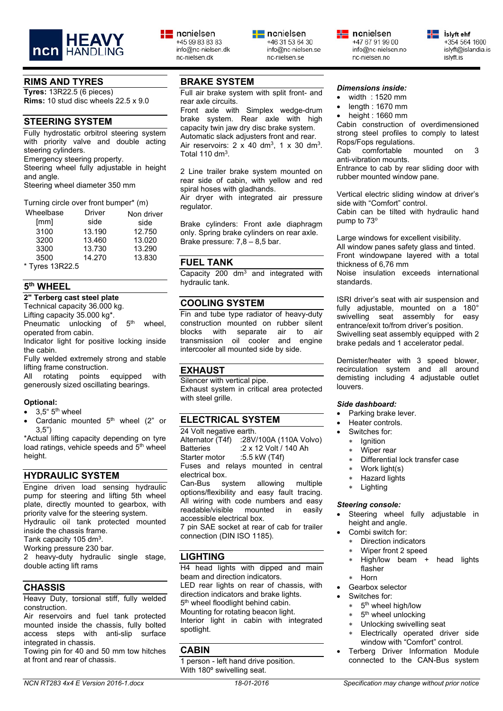

### **RIMS AND TYRES**

**Tyres:** 13R22.5 (6 pieces) **Rims:** 10 stud disc wheels 22.5 x 9.0

# **STEERING SYSTEM**

Fully hydrostatic orbitrol steering system with priority valve and double acting steering cylinders.

Emergency steering property.

Steering wheel fully adjustable in height and angle.

Steering wheel diameter 350 mm

| Turning circle over front bumper* (m) |               |            |  |  |
|---------------------------------------|---------------|------------|--|--|
| Wheelbase                             | <b>Driver</b> | Non driver |  |  |
| [mm]                                  | side          | side       |  |  |
| 3100                                  | 13.190        | 12.750     |  |  |
| 3200                                  | 13.460        | 13.020     |  |  |
| 3300                                  | 13.730        | 13.290     |  |  |
| 3500                                  | 14.270        | 13.830     |  |  |
| * Tyres 13R22.5                       |               |            |  |  |

# **5th WHEEL**

**2" Terberg cast steel plate**

Technical capacity 36.000 kg.

Lifting capacity 35.000 kg\*.

Pneumatic unlocking of 5<sup>th</sup> wheel, operated from cabin.

Indicator light for positive locking inside the cabin.

Fully welded extremely strong and stable lifting frame construction.

All rotating points equipped with generously sized oscillating bearings.

### **Optional:**

- $3.5$ "  $5$ <sup>th</sup> wheel
- Cardanic mounted 5<sup>th</sup> wheel (2" or 3,5")

\*Actual lifting capacity depending on tyre load ratings, vehicle speeds and 5<sup>th</sup> wheel height.

# **HYDRAULIC SYSTEM**

Engine driven load sensing hydraulic pump for steering and lifting 5th wheel plate, directly mounted to gearbox, with priority valve for the steering system. Hydraulic oil tank protected mounted inside the chassis frame.

Tank capacity 105 dm3.

Working pressure 230 bar.

2 heavy-duty hydraulic single stage, double acting lift rams

# **CHASSIS**

Heavy Duty, torsional stiff, fully welded construction.

Air reservoirs and fuel tank protected mounted inside the chassis, fully bolted access steps with anti-slip surface integrated in chassis.

Towing pin for 40 and 50 mm tow hitches at front and rear of chassis.

 $\equiv$  ncnielsen

+45 99 83 83 83

nc-nielsen dk

info@nc-nielsen.dk

Full air brake system with split front- and rear axle circuits.

Front axle with Simplex wedge-drum brake system. Rear axle with high capacity twin jaw dry disc brake system. Automatic slack adjusters front and rear. Air reservoirs:  $2 \times 40$  dm<sup>3</sup>,  $1 \times 30$  dm<sup>3</sup>. Total 110 dm $3$ .

2 Line trailer brake system mounted on rear side of cabin, with yellow and red spiral hoses with gladhands.

Air dryer with integrated air pressure regulator.

Brake cylinders: Front axle diaphragm only. Spring brake cylinders on rear axle. Brake pressure: 7,8 – 8,5 bar.

### **FUEL TANK**

Capacity  $200 \text{ dm}^3$  and integrated with hydraulic tank.

### **COOLING SYSTEM**

Fin and tube type radiator of heavy-duty construction mounted on rubber silent blocks with separate air to air transmission oil cooler and engine intercooler all mounted side by side.

# **EXHAUST**

Silencer with vertical pipe. Exhaust system in critical area protected with steel grille.

# **ELECTRICAL SYSTEM**

24 Volt negative earth. Alternator (T4f) :28V/100A (110A Volvo)<br>Batteries :2 x 12 Volt / 140 Ah :2 x 12 Volt / 140 Ah<br>:5.5 kW (T4f) Starter motor Fuses and relays mounted in central electrical box.<br>Can-Bus sy system allowing multiple options/flexibility and easy fault tracing. All wiring with code numbers and easy<br>readable/visible mounted in easily readable/visible mounted in easily accessible electrical box.

7 pin SAE socket at rear of cab for trailer connection (DIN ISO 1185).

### **LIGHTING**

H4 head lights with dipped and main beam and direction indicators. LED rear lights on rear of chassis, with direction indicators and brake lights. 5<sup>th</sup> wheel floodlight behind cabin. Mounting for rotating beacon light. Interior light in cabin with integrated spotlight.

### **CABIN**

1 person - left hand drive position. With 180º swivelling seat.

# *Dimensions inside:*

nc-nielsen.no

 $\equiv$  ncnielsen

+47 67 91 99 00

info@nc-nielsen.no

- width : 1520 mm
- length : 1670 mm
- height : 1660 mm

Cabin construction of overdimensioned strong steel profiles to comply to latest Rops/Fops regulations.<br>Cab comfortable mounted

Cab comfortable mounted on 3 anti-vibration mounts.

Entrance to cab by rear sliding door with rubber mounted window pane.

Vertical electric sliding window at driver's side with "Comfort" control.

Cabin can be tilted with hydraulic hand pump to 73°

Large windows for excellent visibility.

All window panes safety glass and tinted. Front windowpane layered with a total thickness of 6,76 mm

Noise insulation exceeds international standards.

ISRI driver's seat with air suspension and fully adjustable, mounted on a 180° swivelling seat assembly for easy entrance/exit to/from driver's position. Swivelling seat assembly equipped with 2 brake pedals and 1 accelerator pedal.

Demister/heater with 3 speed blower, recirculation system and all around demisting including 4 adjustable outlet louvers.

### *Side dashboard:*

- Parking brake lever.
- Heater controls.
- Switches for:
- lanition
- Wiper rear
- Differential lock transfer case
- Work light(s)
- ∗ Hazard lights
- ∗ Lighting

### *Steering console:*

- Steering wheel fully adjustable in height and angle.
- Combi switch for:
- Direction indicators
- Wiper front 2 speed
- ∗ High/low beam + head lights flasher
- ∗ Horn
- Gearbox selector
- Switches for:
	- ∗ 5th wheel high/low
	- 5<sup>th</sup> wheel unlocking
	- Unlocking swivelling seat
	- Electrically operated driver side window with "Comfort" control.
- Terberg Driver Information Module connected to the CAN-Bus system



islyft.is



nc-nielsen.se

+46 31 53 64 30 info@nc-nielsen.se